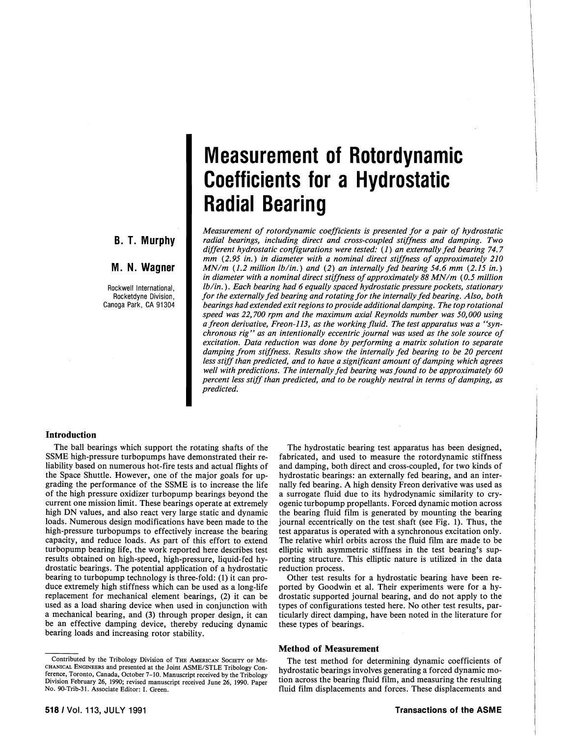**B. T. Murphy** 

**M. N. Wagner** 

Rockwell International, Rocketdyne Division, Canoga Park, CA 91304

# **Measurement of Rotordynamic Coefficients for a Hydrostatic Radial Bearing**

*Measurement of rotordynamic coefficients* is *presented for a pair of hydrostatic radial bearings, including direct and cross-coupled stiffness and damping. Two different hydrostatic configurations were tested:* (1) *an externally fed bearing* 74.7 *mm* (2.95 *in.) in diameter with a nominal direct stiffness of approximately 210 MNlm* (1.2 *million Ib/in.) and* (2) *an internally fed bearing* 54.6 *mm* (2.15 *in.)*  in diameter with a nominal direct stiffness of approximately 88 MN/m (0.5 million *Ib/in.). Each bearing had* 6 *equally spaced hydrostatic pressure pockets, stationary for the externally fed bearing and rotating for the internally fed bearing. Also, both bearings had extended exit regions to provide additional damping. The top rotational speed was 22,700 rpm and the maximum axial Reynolds number was 50,000 using afreon derivative, Freon-113, as the working fluid. The test apparatus was a "syn\_ chronous rig" as an intentionally eccentric journal was used as the sole source of excitation. Data reduction was done by performing a matrix solution to separate damping from stiffness. Results show the internally fed bearing to be 20 percent*  less stiff than predicted, and to have a significant amount of damping which agrees *well with predictions. The internally fed bearing was found to be approximately 60 percent less stiff than predicted, and to be roughly neutral in terms of damping, as predicted.* 

#### **Introduction**

The ball bearings which support the rotating shafts of the 55MB high-pressure turbopumps have demonstrated their reliability based on numerous hot-fire tests and actual flights of the Space Shuttle. However, one of the major goals for upgrading the performance of the 55MB is to increase the life of the high pressure oxidizer turbopump bearings beyond the current one mission limit. These bearings operate at extremely high DN values, and also react very large static and dynamic loads. Numerous design modifications have been made to the high-pressure turbopumps to effectively increase the bearing capacity, and reduce loads. As part of this effort to extend turbopump bearing life, the work reported here describes test results obtained on high-speed, high-pressure, liquid-fed hydrostatic bearings. The potential application of a hydrostatic bearing to turbopump technology is three-fold: (1) it can produce extremely high stiffness which can be used as a long-life replacement for mechanical element bearings, (2) it can be used as a load sharing device when used in conjunction with a mechanical bearing, and (3) through proper design, it can be an effective damping device, thereby reducing dynamic bearing loads and increasing rotor stability.

The hydrostatic bearing test apparatus has been designed, fabricated, and used to measure the rotordynamic stiffness and damping, both direct and cross-coupled, for two kinds of hydrostatic bearings: an externally fed bearing, and an internally fed bearing. A high density Freon derivative was used as a surrogate fluid due to its hydrodynamic similarity to cryogenic turbopump propellants. Forced dynamic motion across the bearing fluid film is generated by mounting the bearing journal eccentrically on the test shaft (see Fig. 1). Thus, the test apparatus is operated with a synchronous excitation only. The relative whirl orbits across the fluid film are made to be elliptic with asymmetric stiffness in the test bearing's supporting structure. This elliptic nature is utilized in the data reduction process.

Other test results for a hydrostatic bearing have been reported by Goodwin et al. Their experiments were for a hydrostatic supported journal bearing, and do not apply to the types of configurations tested here. No other test results, particularly direct damping, have been noted in the literature for these types of bearings.

# **Method of Measurement**

The test method for determining dynamic coefficients of hydrostatic bearings involves generating a forced dynamic motion across the bearing fluid film, and measuring the resulting fluid film displacements and forces. These displacements and

Contributed by the Tribology Division of THE AMERICAN SOCIETY OF ME-CHANICAL ENGINEERS and presented at the Joint ASME/STLE Tribology Con· ference, Toronto, Canada, October 7-10. Manuscript received by the Tribology Division February 26, 1990; revised manuscript received June 26, 1990. Paper No. 90-Trib-31. Associate Editor: I. Green.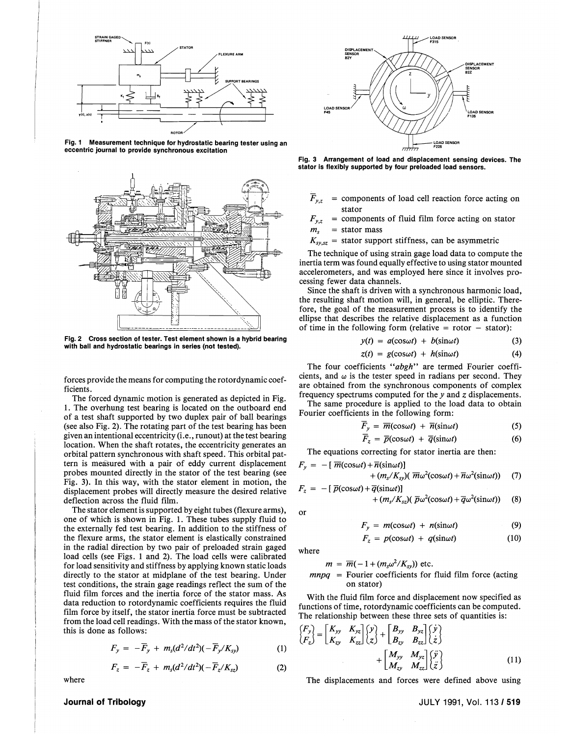

Fig. 1 Measurement technique for hydrostatic bearing tester using an eccentric journal to provide synchronous excitation



Fig. 2 Cross section of tester. Test element shown is a hybrid bearing with ball and hydrostatic bearings in series (not tested).

forces provide the means for computing the rotordynamic coefficients.

The forced dynamic motion is generated as depicted in Fig. 1. The overhung test bearing is located on the outboard end of a test shaft supported by two duplex pair of ball bearings (see also Fig. 2). The rotating part of the test bearing has been given an intentional eccentricity (i.e., runout) at the test bearing location. When the shaft rotates, the eccentricity generates an orbital pattern synchronous with shaft speed. This orbital pattern is measured with a pair of eddy current displacement probes mounted directly in the stator of the test bearing (see Fig. 3). In this way, with the stator element in motion, the displacement probes will directly measure the desired relative deflection across the fluid film.

The stator element is supported by eight tubes (flexure arms), one of which is shown in Fig. 1. These tubes supply fluid to the externally fed test bearing. In addition to the stiffness of the flexure arms, the stator element is elastically constrained in the radial direction by two pair of preloaded strain gaged load cells (see Figs. 1 and 2). The load cells were calibrated for load sensitivity and stiffness by applying known static loads directly to the stator at midplane of the test bearing. Under test conditions, the strain gage readings reflect the sum of the fluid film forces and the inertia force of the stator mass. As data reduction to rotordynamic coefficients requires the fluid film force by itself, the stator inertia force must be subtracted from the load cell readings. With the mass of the stator known, this is done as follows:

$$
F_y = -\overline{F}_y + m_s(d^2/dt^2)(-\overline{F}_y/K_{sy})
$$
 (1)

$$
F_z = -\overline{F}_z + m_s(d^2/dt^2)(-\overline{F}_z/K_{sz})
$$
 (2)

where

### **Journal of Tribology**



Fig. 3 Arrangement of load and displacement sensing devices. The stator is flexibly supported by four preloaded load sensors.

 $\overline{F}_{v,z}$  = components of load cell reaction force acting on stator

 $F_{y,z}$  = components of fluid film force acting on stator

 $m_s$  = stator mass

 $K_{s\gamma,sz}$  = stator support stiffness, can be asymmetric

The technique of using strain gage load data to compute the inertia term was found equally effective to using stator mounted accelerometers, and was employed here since it involves processing fewer data channels.

Since the shaft is driven with a synchronous harmonic load, the resulting shaft motion will, in general, be elliptic. Therefore, the goal of the measurement process is to identify the ellipse that describes the relative displacement as a function of time in the following form (relative  $=$  rotor  $-$  stator):

$$
y(t) = a(\cos \omega t) + b(\sin \omega t) \tag{3}
$$

$$
z(t) = g(\cos \omega t) + h(\sin \omega t) \tag{4}
$$

The four coefficients *"abgh"* are termed Fourier coefficients, and  $\omega$  is the tester speed in radians per second. They are obtained from the synchronous components of complex frequency spectrums computed for the y and *z* displacements.

The same procedure is applied to the load data to obtain Fourier coefficients in the following form:

$$
\overline{F}_y = \overline{m}(\cos \omega t) + \overline{n}(\sin \omega t) \tag{5}
$$

$$
\overline{F}_z = \overline{p}(\cos \omega t) + \overline{q}(\sin \omega t) \tag{6}
$$

The equations correcting for stator inertia are then:

$$
F_y = -[\ \overline{m}(\cos\omega t) + \overline{n}(\sin\omega t)] + (m_s/K_{sy})(\ \overline{m}\omega^2(\cos\omega t) + \overline{n}\omega^2(\sin\omega t)) \qquad (7)
$$

$$
cos\omega t
$$
 +  $\overline{q} (sin\omega t)$ ]  
+  $(m/K)(\overline{p} \cdot \overline{f}(cos\omega t) + \overline{g} \cdot \overline{f}(sin\omega t))$  (8)

$$
+(m_s/K_{sz})(\ \overline{p}\omega^2(\cos\omega t)+\overline{q}\omega^2(\sin\omega t))
$$
 (8)

$$
\quad \text{or} \quad
$$

$$
F_{y} = m(\cos \omega t) + n(\sin \omega t) \tag{9}
$$

$$
F_z = p(\cos \omega t) + q(\sin \omega t) \qquad (10)
$$

where

 $F_z = -[\overline{p}(\textbf{c}$ 

$$
m = \overline{m}(-1 + (m_s \omega^2 / K_{sy})) \text{ etc.}
$$

 $mnpq =$  Fourier coefficients for fluid film force (acting on stator)

With the fluid film force and displacement now specified as functions of time, rotordynamic coefficients can be computed. The relationship between these three sets of quantities is:

$$
\begin{aligned}\n\begin{bmatrix} F_y \\ F_z \end{bmatrix} &= \begin{bmatrix} K_{yy} & K_{yz} \\ K_{zy} & K_{zz} \end{bmatrix} \begin{bmatrix} y \\ z \end{bmatrix} + \begin{bmatrix} B_{yy} & B_{yz} \\ B_{zy} & B_{zz} \end{bmatrix} \begin{bmatrix} y \\ z \end{bmatrix} \\
&+ \begin{bmatrix} M_{yy} & M_{yz} \\ M_{zy} & M_{zz} \end{bmatrix} \begin{bmatrix} y \\ \ddot{y} \\ \ddot{z} \end{bmatrix}\n\end{aligned}\n\tag{11}
$$

The displacements and forces were defined above using

## JULY 1991, Vol. 113/519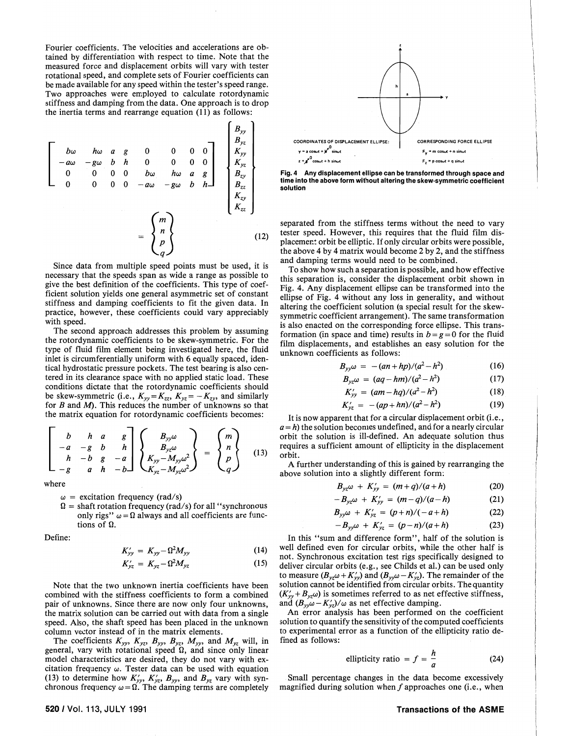Fourier coefficients. The velocities and accelerations are obtained by differentiation with respect to time. Note that the measured force and displacement orbits will vary with tester rotational speed, and complete sets of Fourier coefficients can be made available for any speed within the tester's speed range. Two approaches were employed to calculate rotordynamic stiffness and damping from the data. One approach is to drop the inertia terms and rearrange equation (11) as follows:

$$
\begin{bmatrix}\n b\omega & h\omega & a & g & 0 & 0 & 0 \\
 -a\omega & -g\omega & b & h & 0 & 0 & 0 \\
 0 & 0 & 0 & 0 & b\omega & h\omega & a & g \\
 0 & 0 & 0 & 0 & -a\omega & -g\omega & b & h\n\end{bmatrix}\n\begin{bmatrix}\n B_{yy} \\
 B_{yz} \\
 K_{yy} \\
 K_{zx} \\
 B_{zy} \\
 K_{zz} \\
 K_{zz}\n\end{bmatrix}
$$
\n
$$
=\n\begin{Bmatrix}\n m \\
 n \\
 p \\
 q\n\end{Bmatrix}
$$
\n(12)

Since data from multiple speed points must be used, it is necessary that the speeds span as wide a range as possible to give the best definition of the coefficients. This type of coefficient solution yields one general asymmetric set of constant stiffness and damping coefficients to fit the given data. In practice, however, these coefficients could vary appreciably with speed.

The second approach addresses this problem by assuming the rotordynamic coefficients to be skew-symmetric. For the type of fluid film element being investigated here, the fluid inlet is circumferentially uniform with 6 equally spaced, identical hydrostatic pressure pockets. The test bearing is also centered in its clearance space with no applied static load. These conditions dictate that the rotordynamic coefficients should be skew-symmetric (i.e.,  $K_{yy} = K_{zz}$ ,  $K_{yz} = -K_{zy}$ , and similarly the matrix equation for rotordynamic coefficients becomes:

for *B* and *M*). This reduces the number of unknowns so that  
the matrix equation for rotordynamic coefficients becomes:  

$$
\begin{bmatrix} b & h & a & g \ -a & -g & b & h \ h & -b & g & -a \ -g & a & h & -b \end{bmatrix} \begin{Bmatrix} B_{yy}\omega \\ B_{yz}\omega \\ K_{yy} - M_{yy}\omega^2 \\ K_{yz} - M_{yz}\omega^2 \end{Bmatrix} = \begin{Bmatrix} m \\ n \\ p \\ q \end{Bmatrix}
$$
(13)

where

- $\omega$  = excitation frequency (rad/s)
- $\Omega$  = shaft rotation frequency (rad/s) for all "synchronous only rigs"  $\omega = \Omega$  always and all coefficients are functions of  $\Omega$ .

Define:

$$
K'_{yy} = K_{yy} - \Omega^2 M_{yy} \tag{14}
$$

$$
K'_{yz} = K_{yz} - \Omega^2 M_{yz}
$$
 (15)

Note that the two unknown inertia coefficients have been combined with the stiffness coefficients to form a combined pair of unknowns. Since there are now only four unknowns, the matrix solution can be carried out with data from a single speed. Also, the shaft speed has been placed in the unknown column vector instead of in the matrix elements.

The coefficients  $K_{yy}$ ,  $K_{yz}$ ,  $B_{yy}$ ,  $B_{yz}$ ,  $M_{yy}$ , and  $M_{yz}$  will, in general, vary with rotational speed  $\Omega$ , and since only linear model characteristics are desired, they do not vary with excitation frequency *w.* Tester data can be used with equation (13) to determine how  $K'_{yy}$ ,  $K'_{yz}$ ,  $B_{yy}$ , and  $B_{yz}$  vary with synchronous frequency  $\omega = \Omega$ . The damping terms are completely



Fig. 4 Any displacement ellipse can be transformed through space and time into the above form without altering the skew-symmetric coefficient solution

separated from the stiffness terms without the need to vary tester speed. However, this requires that the fluid film displacement orbit be elliptic. If only circular orbits were possible, the above 4 by 4 matrix would become 2 by 2, and the stiffness and damping terms would need to be combined.

To show how such a separation is possible, and how effective this separation is, consider the displacement orbit shown in Fig. 4. Any displacement ellipse can be transformed into the ellipse of Fig. 4 without any loss in generality, and without altering the coefficient solution (a special result for the skewsymmetric coefficient arrangement). The same transformation is also enacted on the corresponding force ellipse. This transformation (in space and time) results in  $b = g = 0$  for the fluid film displacements, and establishes an easy solution for the unknown coefficients as follows:

$$
B_{\nu\nu}\omega = -(an+hp)/(a^2-h^2) \qquad (16)
$$

$$
B_{yz}\omega = (aq-hm)/(a^2-h^2) \tag{17}
$$

$$
K'_{yy} = (am - hq)/(a^2 - h^2)
$$
 (18)

$$
K'_{yz} = -(ap + hn)/(a^2 - h^2)
$$
 (19)

It is now apparent that for a circular displacement orbit (i.e.,  $a = h$ ) the solution becomes undefined, and for a nearly circular orbit the solution is ill-defined. An adequate solution thus requires a sufficient amount of ellipticity in the displacement orbit.

A further understanding of this is gained by rearranging the above solution into a slightly different form:

$$
B_{yz}\omega + K'_{yy} = (m+q)/(a+h)
$$
 (20)

$$
-B_{yz}\omega + K'_{yy} = (m-q)/(a-h)
$$
 (21)

$$
B_{yy}\omega + K_{yz}' = (p+n)/(-a+h) \tag{22}
$$

$$
-B_{yy}\omega + K'_{yz} = (p-n)/(a+h) \qquad (23)
$$

In this "sum and difference form", half of the solution is well defined even for circular orbits, while the other half is not. Synchronous excitation test rigs specifically designed to deliver circular orbits (e.g., see Childs et al.) can be used only to measure  $(B_{yz}\omega + K_{yy}')$  and  $(B_{yy}\omega - K_{yz}')$ . The remainder of the solution cannot be identified from circular orbits. The quantity  $(K'_{yy} + B_{yz}\omega)$  is sometimes referred to as net effective stiffness, and  $(B_{yy}\omega - K_{yz})/\omega$  as net effective damping.

An error analysis has been performed on the coefficient solution to quantify the sensitivity of the computed coefficients to experimental error as a function of the ellipticity ratio defined as follows:

ellipticity ratio = 
$$
f = \frac{h}{a}
$$
 (24)

Small percentage changes in the data become excessively magnified during solution when  $f$  approaches one (i.e., when

# Transactions of the ASME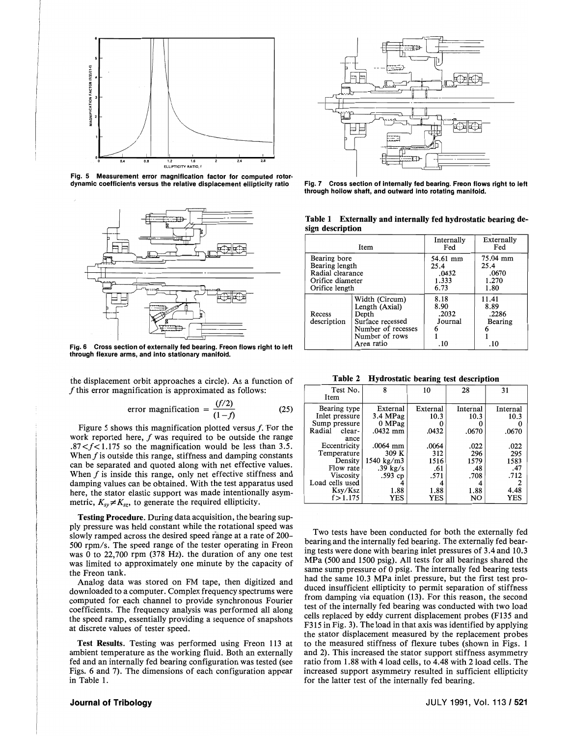

Fig. 5 Measurement error magnification factor for computed rotor· dynamic coefficients versus the relative displacement ellipticity ratio



Fig. 6 Cross section of externally fed bearing. Freon flows right to left through flexure arms, and into stationary manifold.

the displacement orbit approaches a circle). As a function of  $f$  this error magnification is approximated as follows:

error magnification = 
$$
\frac{(f/2)}{(1-f)}
$$
 (25)

Figure 5 shows this magnification plotted versus *f*. For the work reported here,  $f$  was required to be outside the range  $.87 < f < 1.175$  so the magnification would be less than 3.5. When  $f$  is outside this range, stiffness and damping constants can be separated and quoted along with net effective values. When  $f$  is inside this range, only net effective stiffness and damping values can be obtained. With the test apparatus used here, the stator elastic support was made intentionally asymmetric,  $K_{sy} \neq K_{sz}$ , to generate the required ellipticity.

Testing Procedure. During data acquisition, the bearing supply pressure was held constant while the rotational speed was slowly ramped across the desired speed range at a rate of 200- $500$  rpm/s. The speed range of the tester operating in Freon was 0 to 22,700 rpm (378 Hz). the duration of anyone test was limited to approximately one minute by the capacity of the Freon tank.

Analog data was stored on FM tape, then digitized and downloaded to a computer. Complex frequency spectrums were computed for each channel to provide synchronous Fourier coefficients. The frequency analysis was performed all along the speed ramp, essentially providing a sequence of snapshots at discrete values of tester speed.

Test Results. Testing was performed using Freon 113 at ambient temperature as the working fluid. Both an externally fed and an internally fed bearing configuration was tested (see Figs. 6 and 7). The dimensions of each configuration appear in Table 1.



Fig. 7 Cross section of internally fed bearing. Freon flows right to left through hollow shaft, and outward into rotating manifold.

Table 1 Externally and internally fed hydrostatic bearing design description

| Item                                                                                     |                                                                                                                     | Internally<br>Fed                            | Externally<br>Fed                          |  |
|------------------------------------------------------------------------------------------|---------------------------------------------------------------------------------------------------------------------|----------------------------------------------|--------------------------------------------|--|
| Bearing bore<br>Bearing length<br>Radial clearance<br>Orifice diameter<br>Orifice length |                                                                                                                     | 54.61 mm<br>25.4<br>.0432<br>1.333<br>6.73   | 75.04 mm<br>25.4<br>.0670<br>1.270<br>1.80 |  |
| Recess<br>description                                                                    | Width (Circum)<br>Length (Axial)<br>Depth<br>Surface recessed<br>Number of recesses<br>Number of rows<br>Area ratio | 8.18<br>8.90<br>.2032<br>Journal<br>h<br>.10 | 11.41<br>8.89<br>.2286<br>Bearing<br>.10   |  |

Table 2 Hydrostatic bearing test description

| Test No.<br>Item                                                                                                           | ጸ                                                                                     | 10                                                 | 28                                               | 31                                                |
|----------------------------------------------------------------------------------------------------------------------------|---------------------------------------------------------------------------------------|----------------------------------------------------|--------------------------------------------------|---------------------------------------------------|
| Bearing type<br>Inlet pressure<br>Sump pressure<br>Radial<br>clear-                                                        | External<br>$3.4 \text{ MPag}$<br>0 MPag<br>$.0432$ mm                                | External<br>10.3<br>.0432                          | Internal<br>10.3<br>.0670                        | Internal<br>10.3<br>.0670                         |
| ance<br>Eccentricity<br>Temperature<br>Density<br>Flow rate<br><b>Viscosity</b><br>Load cells used<br>Ksy/Ksz<br>f > 1.175 | $.0064$ mm<br>309K<br>$1540 \text{ kg/m}$ 3<br>.39 $kg/s$<br>$.593$ cp<br>1.88<br>YES | .0064<br>312<br>1516<br>.61<br>.571<br>1.88<br>YES | .022<br>296<br>1579<br>.48<br>.708<br>1.88<br>NO | .022<br>295<br>1583<br>.47<br>.712<br>4.48<br>YES |

Two tests have been conducted for both the externally fed bearing and the internally fed bearing. The externally fed bearing tests were done with bearing inlet pressures of 3.4 and 10.3 MPa (500 and 1500 psig). All tests for all bearings shared the same sump pressure of 0 psig. The internally fed bearing tests had the same 10.3 MPa inlet pressure, but the first test produced insufficient ellipticity to permit separation of stiffness from damping via equation (13). For this reason, the second test of the internally fed bearing was conducted with two load cells replaced by eddy current displacement probes (F135 and F315 in Fig. 3). The load in that axis was identified by applying the stator displacement measured by the replacement probes to the measured stiffness of flexure tubes (shown in Figs. 1 and 2). This increased the stator support stiffness asymmetry ratio from 1.88 with 4 load cells, to 4.48 with 2 load cells. The increased support asymmetry resulted in sufficient ellipticity for the latter test of the internally fed bearing.

## Journal of Tribology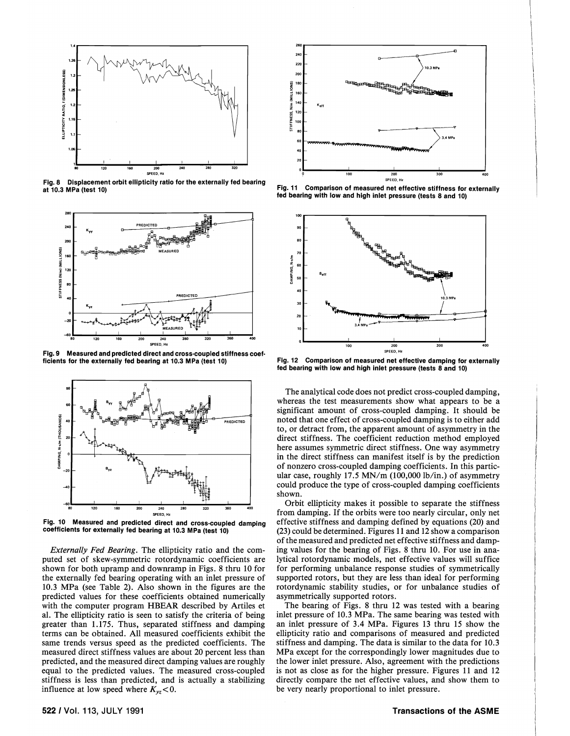

Fig. 8 Displacement orbit ellipticity ratio for the externally fed bearing at 10.3 MPa (test 10)



Fig.9 Measured and predicted direct and cross·coupled stiffness coef· flcients for the externally fed bearing at 10.3 MPa (test 10)



Fig. 10 Measured and predicted direct and cross·coupled damping coefficients for externally fed bearing at 10.3 MPa (test 10)

*Externally Fed Bearing.* The ellipticity ratio and the computed set of skew-symmetric rotordynamic coefficients are shown for both upramp and downramp in Figs. 8 thru 10 for the externally fed bearing operating with an inlet pressure of 10.3 MPa (see Table 2). Also shown in the figures are the predicted values for these coefficients obtained numerically with the computer program HBEAR described by Artiles et al. The ellipticity ratio is seen to satisfy the criteria of being greater than 1.175. Thus, separated stiffness and damping terms can be obtained. All measured coefficients exhibit the same trends versus speed as the predicted coefficients. The measured direct stiffness values are about 20 percent less than predicted, and the measured direct damping values are roughly equal to the predicted values. The measured cross-coupled stiffness is less than predicted, and is actually a stabilizing influence at low speed where  $K_{yz}$  < 0.



Fig. 11 Comparison of measured net effective stiffness for externally fed bearing with low and high inlet pressure (tests 8 and 10)



Fig. 12 Comparison of measured net effective damping for externally fed bearing with low and high inlet pressure (tests 8 and 10)

The analytical code does not predict cross-coupled damping, whereas the test measurements show what appears to be a significant amount of cross-coupled damping. It should be noted that one effect of cross-coupled damping is to either add to, or detract from, the apparent amount of asymmetry in the direct stiffness. The coefficient reduction method employed here assumes symmetric direct stiffness. One way asymmetry in the direct stiffness can manifest itself is by the prediction of nonzero cross-coupled damping coefficients. In this particular case, roughly 17.5 MN/m (100,000 lb/in.) of asymmetry could produce the type of cross-coupled damping coefficients shown.

Orbit ellipticity makes it possible to separate the stiffness from damping. If the orbits were too nearly circular, only net effective stiffness and damping defined by equations (20) and (23) could be determined. Figures 11 and 12 show a comparison of the measured and predicted net effective stiffness and damping values for the bearing of Figs. 8 thru 10. For use in analytical rotordynamic models, net effective values will suffice for performing unbalance response studies of symmetrically supported rotors, but they are less than ideal for performing rotordynamic stability studies, or for unbalance studies of asymmetrically supported rotors.

The bearing of Figs. 8 thru 12 was tested with a bearing inlet pressure of 10.3 MPa. The same bearing was tested with an inlet pressure of 3.4 MPa. Figures 13 thru 15 show the ellipticity ratio and comparisons of measured and predicted stiffness and damping. The data is similar to the data for 10.3 MPa except for the correspondingly lower magnitudes due to the lower inlet pressure. Also, agreement with the predictions is not as close as for the higher pressure. Figures 11 and 12 directly compare the net effective values, and show them to be very nearly proportional to inlet pressure.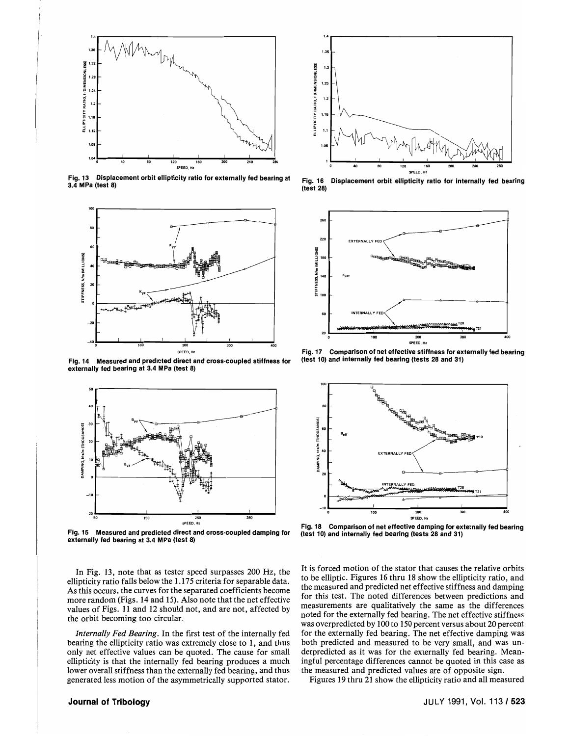

Fig. 13 Displacement orbit ellipticity ratio for externally fed bearing at 3.4 MPa (test 8)



Fig. 14 Measured and predicted direct and cross·coupled stiffness for externally fed bearing at 3.4 MPa (test 8)



Flg.15 Measured and predicted direct and cross·coupled damping for externally fed bearing at 3.4 MPa (test 8)

In Fig. 13, note that as tester speed surpasses 200 Hz, the ellipticity ratio falls below the 1.175 criteria for separable data. As this occurs, the curves for the separated coefficients become more random (Figs. 14 and 15). Also note that the net effective values of Figs. 11 and 12 should not, and are not, affected by the orbit becoming too circular.

*Internally Fed Bearing.* In the first test of the internally fed bearing the ellipticity ratio was extremely close to 1, and thus only net effective values can be quoted. The cause for small ellipticity is that the internally fed bearing produces a much lower overall stiffness than the externally fed bearing, and thus generated less motion of the asymmetrically supported stator.



Fig. 16 Displacement orbit ellipticity ratio for internally fed bearing (test 28)



Fig. 17 Comparison of net effective stiffness for externally fed bearing (test 10) and internally fed bearing (tests 28 and 31)



Fig.18 Comparison of net effective damping for externally fed bearing (test 10) and internally fed bearing (tests 28 and 31)

It is forced motion of the stator that causes the relative orbits to be elliptic. Figures 16 thru 18 show the ellipticity ratio, and the measured and predicted net effective stiffness and damping for this test. The noted differences between predictions and measurements are qualitatively the same as the differences noted for the externally fed bearing. The net effective stiffness was overpredicted by 100 to 150 percent versus about 20 percent for the externally fed bearing. The net effective damping was both predicted and measured to be very small, and was underpredicted as it was for the externally fed bearing. Meaningful percentage differences cannot be quoted in this case as the measured and predicted values are of opposite sign.

Figures 19 thru 21 show the ellipticity ratio and all measured

### Journal of Tribology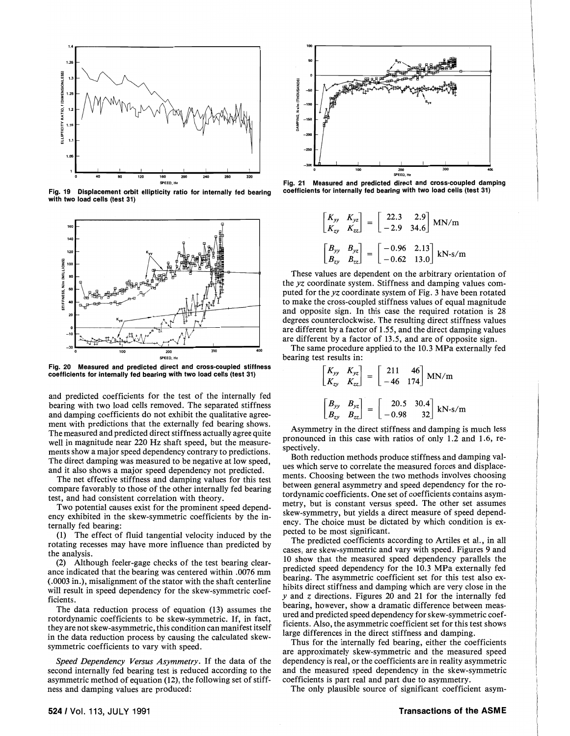

Fig. 19 Displacement orbit ellipticity ratio for internally fed bearing with two load cells (test 31)



Fig. 20 Measured and predicted direct and cross·coupled stiffness coefficients for internally fed bearing with two load cells (test 31)

and predicted coefficients for the test of the internally fed bearing with two load cells removed. The separated stiffness and damping coefficients do not exhibit the qualitative agreement with predictions that the externally fed bearing shows. The measured and predicted direct stiffness actually agree quite well in magnitude near 220 Hz shaft speed, but the measurements show a major speed dependency contrary to predictions. The direct damping was measured to be negative at low speed, and it also shows a major speed dependency not predicted.

The net effective stiffness and damping values for this test compare favorably to those of the other internally fed bearing test, and had consistent correlation with theory.

Two potential causes exist for the prominent speed dependency exhibited in the skew-symmetric coefficients by the internally fed bearing:

(1) The effect of fluid tangential velocity induced by the rotating recesses may have more influence than predicted by the analysis.

(2) Although feeler-gage checks of the test bearing clearance indicated that the bearing was centered within .0076mm (.0003 in.), misalignment of the stator with the shaft centerline will result in speed dependency for the skew-symmetric coefficients.

The data reduction process of equation (13) assumes the rotordynamic coefficients to be skew-symmetric. If, in fact, they are not skew-asymmetric, this condition can manifest itself in the data reduction process by causing the calculated skewsymmetric coefficients to vary with speed.

*Speed Dependency Versus Asymmetry.* If the data of the second internally fed bearing test is reduced according to the asymmetric method of equation (12), the following set of stiffness and damping values are produced:



Fig. 21 Measured and predicted direct and cross·coupled damping coefficients for internally fed bearing with two load cells (test 31)

$$
\begin{bmatrix} K_{yy} & K_{yz} \\ K_{zy} & K_{zz} \end{bmatrix} = \begin{bmatrix} 22.3 & 2.9 \\ -2.9 & 34.6 \end{bmatrix} \text{MN/m}
$$

$$
\begin{bmatrix} B_{yy} & B_{yz} \\ B_{zy} & B_{zz} \end{bmatrix} = \begin{bmatrix} -0.96 & 2.13 \\ -0.62 & 13.0 \end{bmatrix} \text{kN-s/m}
$$

These values are dependent on the arbitrary orientation of the yz coordinate system. Stiffness and damping values computed for the yz coordinate system of Fig. 3 have been rotated to make the cross-coupled stiffness values of equal magnitude and opposite sign. In this case the required rotation is 28 degrees counterclockwise. The resulting direct stiffness values are different by a factor of 1.55, and the direct damping values are different by a factor of 13.5, and are of opposite sign.

The same procedure applied to the 10.3 MPa externally fed bearing test results in:

$$
\begin{bmatrix} K_{yy} & K_{yz} \\ K_{zy} & K_{zz} \end{bmatrix} = \begin{bmatrix} 211 & 46 \\ -46 & 174 \end{bmatrix} \text{MN/m}
$$
\n
$$
\begin{bmatrix} B_{yy} & B_{yz} \\ B_{zy} & B_{zz} \end{bmatrix} = \begin{bmatrix} 20.5 & 30.4 \\ -0.98 & 32 \end{bmatrix} \text{kN-s/m}
$$

Asymmetry in the direct stiffness and damping is much less pronounced in this case with ratios of only 1.2 and 1.6, respectively.

Both reduction methods produce stiffness and damping values which serve to correlate the measured forces and displacements. Choosing between the two methods involves choosing between general asymmetry and speed dependency for the rotordynamic coefficients. One set of coefficients contains asymmetry, but is constant versus speed. The other set assumes skew-symmetry, but yields a direct measure of speed dependency. The choice must be dictated by which condition is expected to be most significant.

The predicted coefficients according to Artiles et al., in all cases, are skew-symmetric and vary with speed. Figures 9 and 10 show that the measured speed dependency parallels the predicted speed dependency for the 10.3 MPa externally fed bearing. The asymmetric coefficient set for this test also exhibits direct stiffness and damping which are very close in the y and *z* directions. Figures 20 and 21 for the internally fed bearing, however, show a dramatic difference between measured and predicted speed dependency for skew-symmetric coefficients. Also, the asymmetric coefficient set for this test shows large differences in the direct stiffness and damping.

Thus for the internally fed bearing, either the coefficients are approximately skew-symmetric and the measured speed dependency is real, or the coefficients are in reality asymmetric and the measured speed dependency in the skew-symmetric coefficients is part real and part due to asymmetry.

The only plausible source of significant coefficient asym-